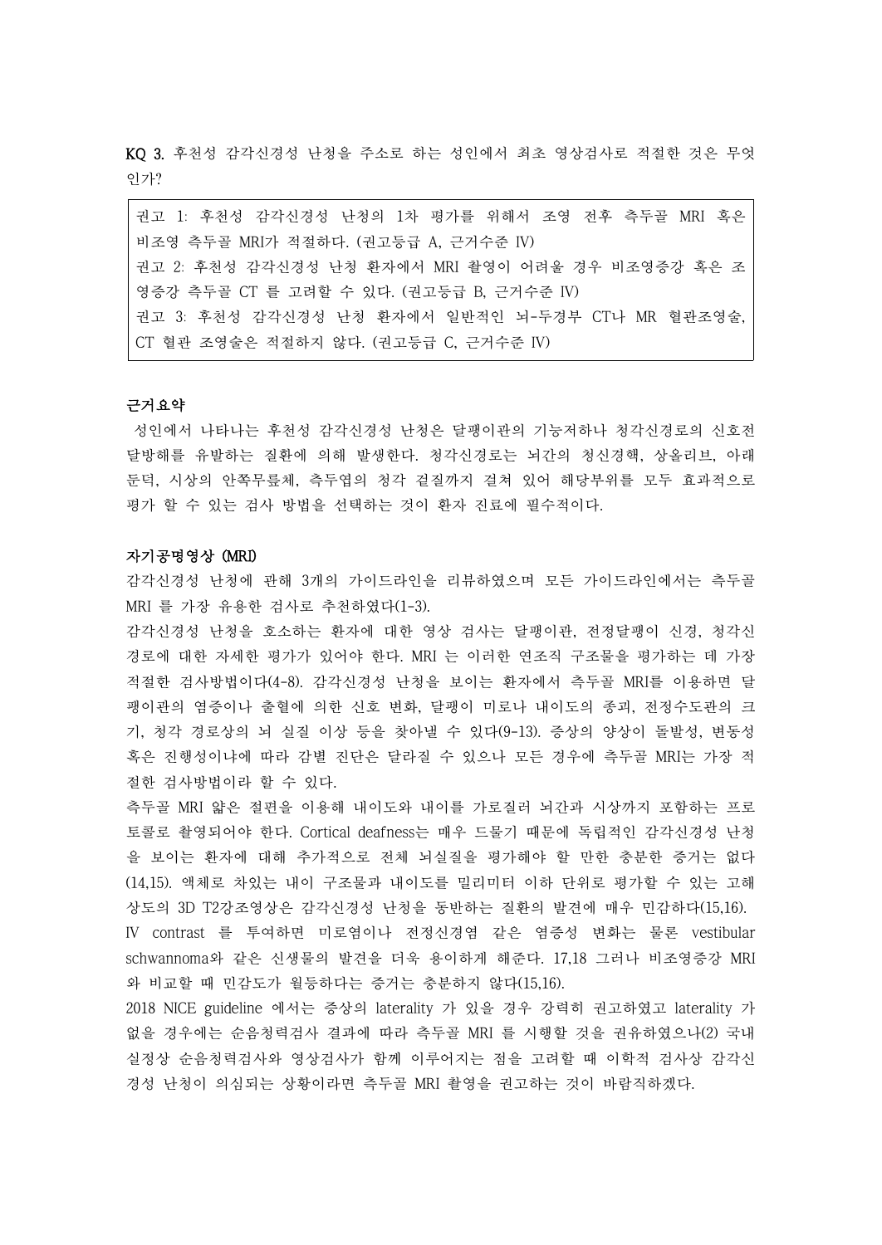KQ 3. 후천성 감각신경성 난청을 주소로 하는 성인에서 최초 영상검사로 적절한 것은 무엇 인가?

권고 1: 후천성 감각신경성 난청의 1차 평가를 위해서 조영 전후 측두골 MRI 혹은 비조영 측두골 MRI가 적절하다. (권고등급 A, 근거수준 IV) 권고 2: 후천성 감각신경성 난청 환자에서 MRI 촬영이 어려울 경우 비조영증강 혹은 조 영증강 측두골 CT 를 고려할 수 있다. (권고등급 B, 근거수준 IV) 권고 3: 후천성 감각신경성 난청 환자에서 일반적인 뇌-두경부 CT나 MR 혈관조영술,<br>CT 혈관 조영술은 적절하지 않다. (권고등급 C, 근거수준 IV)

### 근거요약

성인에서 나타나는 후천성 감각신경성 난청은 달팽이관의 기능저하나 청각신경로의 신호전 달방해를 유발하는 질환에 의해 발생한다. 청각신경로는 뇌간의 청신경핵, 상올리브, 아래 둔덕, 시상의 안쪽무릎체, 측두엽의 청각 겉질까지 걸쳐 있어 해당부위를 모두 효과적으로 평가 할 수 있는 검사 방법을 선택하는 것이 환자 진료에 필수적이다.

### 자기공명영상 (MRI)

감각신경성 난청에 관해 3개의 가이드라인을 리뷰하였으며 모든 가이드라인에서는 측두골 MRI 를 가장 유용한 검사로 추천하였다(1-3).

감각신경성 난청을 호소하는 환자에 대한 영상 검사는 달팽이관, 전정달팽이 신경, 청각신 경로에 대한 자세한 평가가 있어야 한다. MRI 는 이러한 연조직 구조물을 평가하는 데 가장 적절한 검사방법이다(4-8). 감각신경성 난청을 보이는 환자에서 측두골 MRI를 이용하면 달 팽이관의 염증이나 출혈에 의한 신호 변화, 달팽이 미로나 내이도의 종괴, 전정수도관의 크 기, 청각 경로상의 뇌 실질 이상 등을 찾아낼 수 있다(9-13). 증상의 양상이 돌발성, 변동성 혹은 진행성이냐에 따라 감별 진단은 달라질 수 있으나 모든 경우에 측두골 MRI는 가장 적 절한 검사방법이라 할 수 있다.

측두골 MRI 얇은 절편을 이용해 내이도와 내이를 가로질러 뇌간과 시상까지 포함하는 프로 토콜로 촬영되어야 한다. Cortical deafness는 매우 드물기 때문에 독립적인 감각신경성 난청 을 보이는 환자에 대해 추가적으로 전체 뇌실질을 평가해야 할 만한 충분한 증거는 없다 (14,15). 액체로 차있는 내이 구조물과 내이도를 밀리미터 이하 단위로 평가할 수 있는 고해 상도의 3D T2강조영상은 감각신경성 난청을 동반하는 질환의 발견에 매우 민감하다(15,16).

IV contrast 를 투여하면 미로염이나 전정신경염 같은 염증성 변화는 물론 vestibular schwannoma와 같은 신생물의 발견을 더욱 용이하게 해준다. 17,18 그러나 비조영증강 MRI 와 비교할 때 민감도가 월등하다는 증거는 충분하지 않다(15,16).

2018 NICE guideline 에서는 증상의 laterality 가 있을 경우 강력히 권고하였고 laterality 가 없을 경우에는 순음청력검사 결과에 따라 측두골 MRI 를 시행할 것을 권유하였으나(2) 국내 실정상 순음청력검사와 영상검사가 함께 이루어지는 점을 고려할 때 이학적 검사상 감각신 경성 난청이 의심되는 상황이라면 측두골 MRI 촬영을 권고하는 것이 바람직하겠다.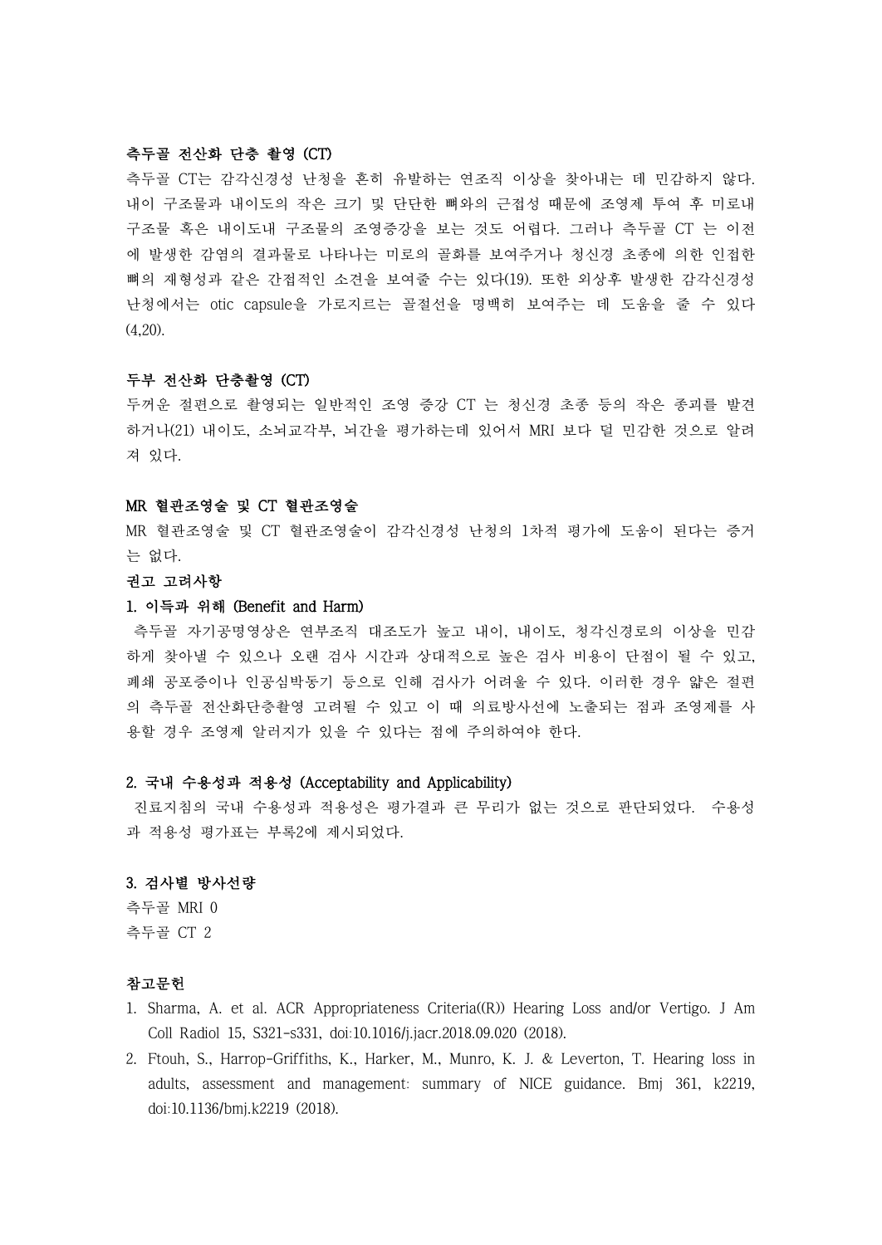# 측두골 전산화 단층 촬영 (CT)

측두골 CT는 감각신경성 난청을 흔히 유발하는 연조직 이상을 찾아내는 데 민감하지 않다.<br>내이 구조물과 내이도의 작은 크기 및 단단한 뼈와의 근접성 때문에 조영제 투여 후 미로내 구조물 혹은 내이도내 구조물의 조영증강을 보는 것도 어렵다. 그러나 측두골 CT 는 이전 에 발생한 감염의 결과물로 나타나는 미로의 골화를 보여주거나 청신경 초종에 의한 인접한 뼈의 재형성과 같은 간접적인 소견을 보여줄 수는 있다(19). 또한 외상후 발생한 감각신경성 난청에서는 otic capsule을 가로지르는 골절선을 명백히 보여주는 데 도움을 줄 수 있다 (4,20).

# 두부 전산화 단층촬영 (CT)

두꺼운 절편으로 촬영되는 일반적인 조영 증강 CT 는 청신경 초종 등의 작은 종괴를 발견 하거나(21) 내이도, 소뇌교각부, 뇌간을 평가하는데 있어서 MRI 보다 덜 민감한 것으로 알려 져 있다.

## MR 혈관조영술 및 CT 혈관조영술

MR 혈관조영술 및 CT 혈관조영술이 감각신경성 난청의 1차적 평가에 도움이 된다는 증거 는 없다.<br>**권고 고려사항** 

### 1. 이득과 위해 (Benefit and Harm)

측두골 자기공명영상은 연부조직 대조도가 높고 내이, 내이도, 청각신경로의 이상을 민감 하게 찾아낼 수 있으나 오랜 검사 시간과 상대적으로 높은 검사 비용이 단점이 될 수 있고,<br>폐쇄 공포증이나 인공심박동기 등으로 인해 검사가 어려울 수 있다. 이러한 경우 얇은 절편 의 측두골 전산화단층촬영 고려될 수 있고 이 때 의료방사선에 노출되는 점과 조영제를 사 용할 경우 조영제 알러지가 있을 수 있다는 점에 주의하여야 한다.

# 2. 국내 수용성과 적용성 (Acceptability and Applicability)

진료지침의 국내 수용성과 적용성은 평가결과 큰 무리가 없는 것으로 판단되었다. 수용성 과 적용성 평가표는 부록2에 제시되었다.

### 3. 검사별 방사선량

측두골 MRI 0 측두골 CT 2

# 참고문헌

- 1. Sharma, A. et al. ACR Appropriateness Criteria((R)) Hearing Loss and/or Vertigo. J Am Coll Radiol 15, S321-s331, doi:10.1016/j.jacr.2018.09.020 (2018).
- 2. Ftouh, S., Harrop-Griffiths, K., Harker, M., Munro, K. J. & Leverton, T. Hearing loss in adults, assessment and management: summary of NICE guidance. Bmj 361, k2219, doi:10.1136/bmj.k2219 (2018).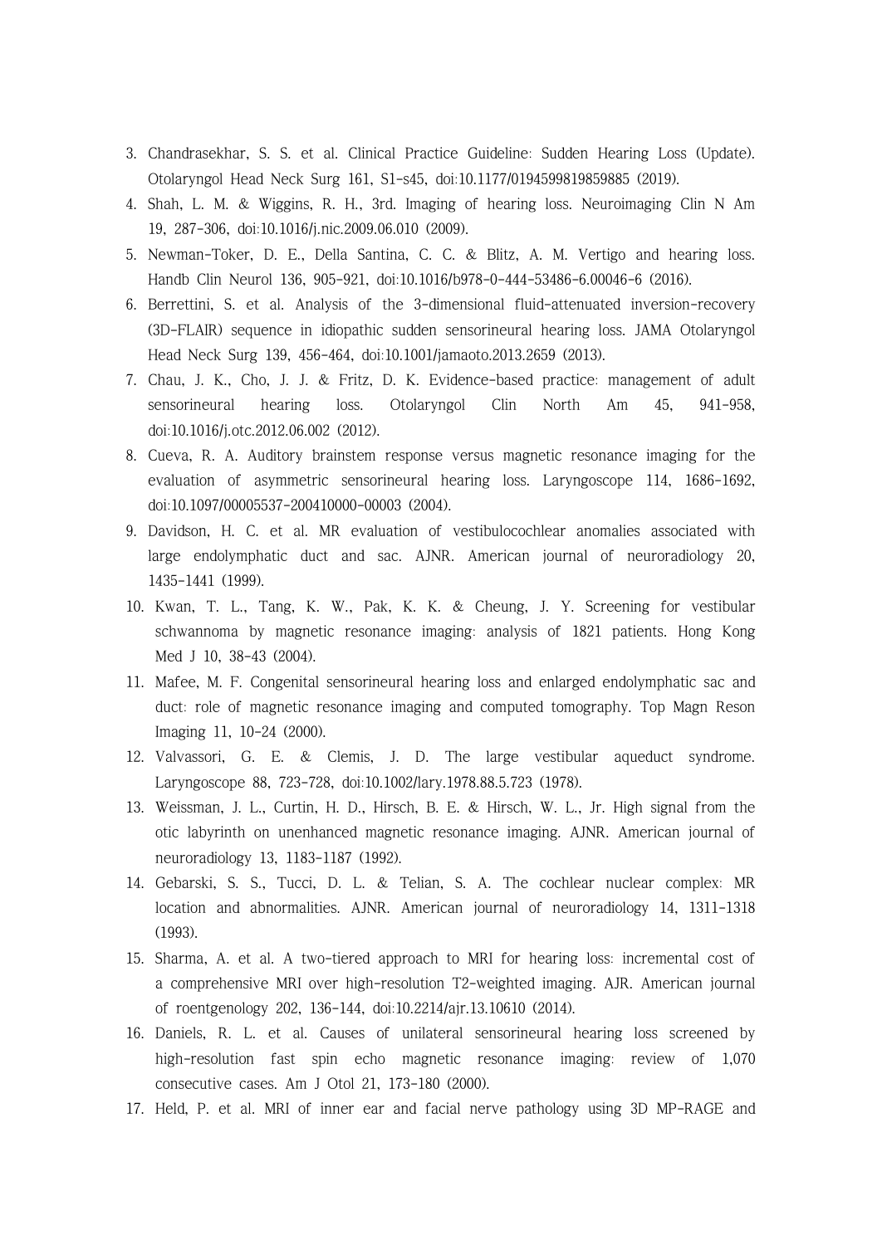- 3. Chandrasekhar, S. S. et al. Clinical Practice Guideline: Sudden Hearing Loss (Update). Otolaryngol Head Neck Surg 161, S1-s45, doi:10.1177/0194599819859885 (2019).
- 4. Shah, L. M. & Wiggins, R. H., 3rd. Imaging of hearing loss. Neuroimaging Clin N Am 19, 287-306, doi:10.1016/j.nic.2009.06.010 (2009).
- 5. Newman-Toker, D. E., Della Santina, C. C. & Blitz, A. M. Vertigo and hearing loss. Handb Clin Neurol 136, 905-921, doi:10.1016/b978-0-444-53486-6.00046-6 (2016).
- 6. Berrettini, S. et al. Analysis of the 3-dimensional fluid-attenuated inversion-recovery (3D-FLAIR) sequence in idiopathic sudden sensorineural hearing loss. JAMA Otolaryngol Head Neck Surg 139, 456-464, doi:10.1001/jamaoto.2013.2659 (2013).
- 7. Chau, J. K., Cho, J. J. & Fritz, D. K. Evidence-based practice: management of adult sensorineural hearing loss. Otolaryngol Clin North Am 45, 941-958, doi:10.1016/j.otc.2012.06.002 (2012).
- 8. Cueva, R. A. Auditory brainstem response versus magnetic resonance imaging for the evaluation of asymmetric sensorineural hearing loss. Laryngoscope 114, 1686-1692, doi:10.1097/00005537-200410000-00003 (2004).
- 9. Davidson, H. C. et al. MR evaluation of vestibulocochlear anomalies associated with large endolymphatic duct and sac. AJNR. American journal of neuroradiology 20, 1435-1441 (1999).
- 10. Kwan, T. L., Tang, K. W., Pak, K. K. & Cheung, J. Y. Screening for vestibular schwannoma by magnetic resonance imaging: analysis of 1821 patients. Hong Kong Med J 10, 38-43 (2004).
- 11. Mafee, M. F. Congenital sensorineural hearing loss and enlarged endolymphatic sac and duct: role of magnetic resonance imaging and computed tomography. Top Magn Reson Imaging 11, 10-24 (2000).
- 12. Valvassori, G. E. & Clemis, J. D. The large vestibular aqueduct syndrome. Laryngoscope 88, 723-728, doi:10.1002/lary.1978.88.5.723 (1978).
- 13. Weissman, J. L., Curtin, H. D., Hirsch, B. E. & Hirsch, W. L., Jr. High signal from the otic labyrinth on unenhanced magnetic resonance imaging. AJNR. American journal of neuroradiology 13, 1183-1187 (1992).
- 14. Gebarski, S. S., Tucci, D. L. & Telian, S. A. The cochlear nuclear complex: MR location and abnormalities. AJNR. American journal of neuroradiology 14, 1311-1318 (1993).
- 15. Sharma, A. et al. A two-tiered approach to MRI for hearing loss: incremental cost of a comprehensive MRI over high-resolution T2-weighted imaging. AJR. American journal of roentgenology 202, 136-144, doi:10.2214/ajr.13.10610 (2014).
- 16. Daniels, R. L. et al. Causes of unilateral sensorineural hearing loss screened by high-resolution fast spin echo magnetic resonance imaging: review of 1,070 consecutive cases. Am J Otol 21, 173-180 (2000).
- 17. Held, P. et al. MRI of inner ear and facial nerve pathology using 3D MP-RAGE and